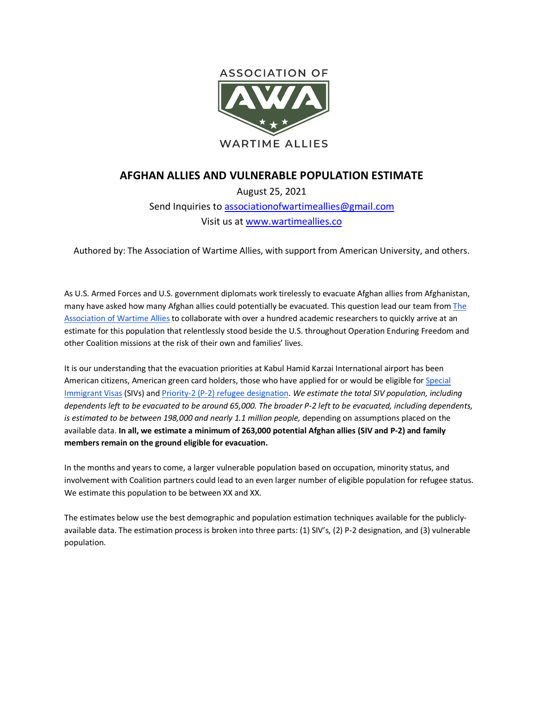

## **AFGHAN ALLIES AND VULNERABLE POPULATION ESTIMATE**

August 25, 2021 Send Inquiries to associationofwartimeallies@gmail.com Visit us at www.wartimeallies.co

Authored by: The Association of Wartime Allies, with support from American University, and others.

As U.S. Armed Forces and U.S. government diplomats work tirelessly to evacuate Afghan allies from Afghanistan, many have asked how many Afghan allies could potentially be evacuated. This question lead our team from The Association of Wartime Allies to collaborate with over a hundred academic researchers to quickly arrive at an estimate for this population that relentlessly stood beside the U.S. throughout Operation Enduring Freedom and other Coalition missions at the risk of their own and families' lives.

It is our understanding that the evacuation priorities at Kabul Hamid Karzai International airport has been American citizens, American green card holders, those who have applied for or would be eligible for Special Immigrant Visas (SIVs) and Priority-2 (P-2) refugee designation. *We estimate the total SIV population, including dependents left to be evacuated to be around 65,000. The broader P-2 left to be evacuated, including dependents, is estimated to be between 198,000 and nearly 1.1 million people,* depending on assumptions placed on the available data. **In all, we estimate a minimum of 263,000 potential Afghan allies (SIV and P-2) and family members remain on the ground eligible for evacuation.**

In the months and years to come, a larger vulnerable population based on occupation, minority status, and involvement with Coalition partners could lead to an even larger number of eligible population for refugee status. We estimate this population to be between XX and XX.

The estimates below use the best demographic and population estimation techniques available for the publiclyavailable data. The estimation process is broken into three parts: (1) SIV's, (2) P-2 designation, and (3) vulnerable population.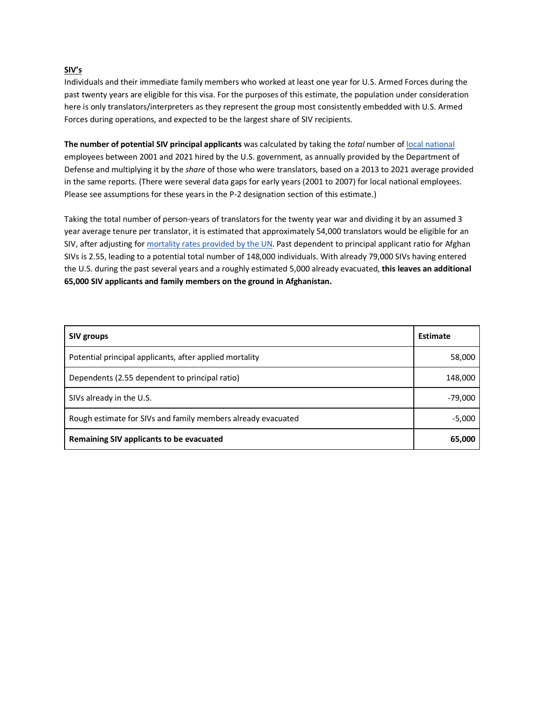## **SIV's**

Individuals and their immediate family members who worked at least one year for U.S. Armed Forces during the past twenty years are eligible for this visa. For the purposes of this estimate, the population under consideration here is only translators/interpreters as they represent the group most consistently embedded with U.S. Armed Forces during operations, and expected to be the largest share of SIV recipients.

**The number of potential SIV principal applicants** was calculated by taking the *total* number of local national employees between 2001 and 2021 hired by the U.S. government, as annually provided by the Department of Defense and multiplying it by the *share* of those who were translators, based on a 2013 to 2021 average provided in the same reports. (There were several data gaps for early years (2001 to 2007) for local national employees. Please see assumptions for these years in the P-2 designation section of this estimate.)

Taking the total number of person-years of translators for the twenty year war and dividing it by an assumed 3 year average tenure per translator, it is estimated that approximately 54,000 translators would be eligible for an SIV, after adjusting for mortality rates provided by the UN. Past dependent to principal applicant ratio for Afghan SIVs is 2.55, leading to a potential total number of 148,000 individuals. With already 79,000 SIVs having entered the U.S. during the past several years and a roughly estimated 5,000 already evacuated, **this leaves an additional 65,000 SIV applicants and family members on the ground in Afghanistan.**

| <b>SIV groups</b>                                            | <b>Estimate</b> |
|--------------------------------------------------------------|-----------------|
| Potential principal applicants, after applied mortality      | 58,000          |
| Dependents (2.55 dependent to principal ratio)               | 148,000         |
| SIVs already in the U.S.                                     | $-79,000$       |
| Rough estimate for SIVs and family members already evacuated | $-5,000$        |
| Remaining SIV applicants to be evacuated                     | 65,000          |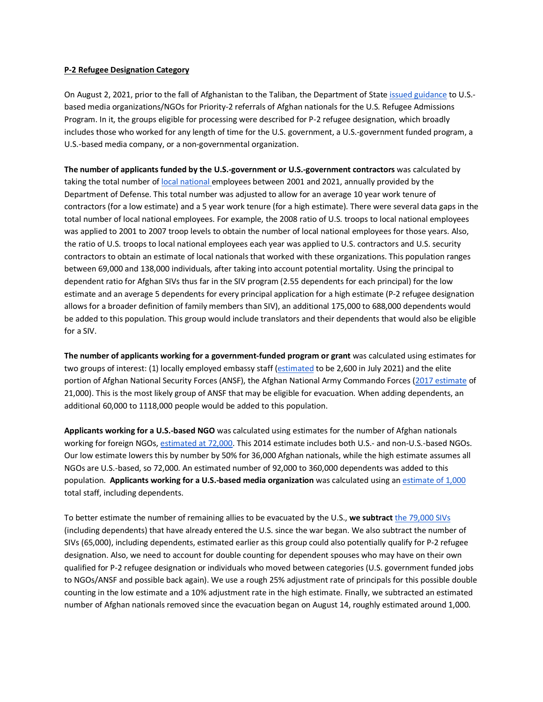## **P-2 Refugee Designation Category**

On August 2, 2021, prior to the fall of Afghanistan to the Taliban, the Department of State issued guidance to U.S. based media organizations/NGOs for Priority-2 referrals of Afghan nationals for the U.S. Refugee Admissions Program. In it, the groups eligible for processing were described for P-2 refugee designation, which broadly includes those who worked for any length of time for the U.S. government, a U.S.-government funded program, a U.S.-based media company, or a non-governmental organization.

**The number of applicants funded by the U.S.-government or U.S.-government contractors** was calculated by taking the total number of local national employees between 2001 and 2021, annually provided by the Department of Defense. This total number was adjusted to allow for an average 10 year work tenure of contractors (for a low estimate) and a 5 year work tenure (for a high estimate). There were several data gaps in the total number of local national employees. For example, the 2008 ratio of U.S. troops to local national employees was applied to 2001 to 2007 troop levels to obtain the number of local national employees for those years. Also, the ratio of U.S. troops to local national employees each year was applied to U.S. contractors and U.S. security contractors to obtain an estimate of local nationals that worked with these organizations. This population ranges between 69,000 and 138,000 individuals, after taking into account potential mortality. Using the principal to dependent ratio for Afghan SIVs thus far in the SIV program (2.55 dependents for each principal) for the low estimate and an average 5 dependents for every principal application for a high estimate (P-2 refugee designation allows for a broader definition of family members than SIV), an additional 175,000 to 688,000 dependents would be added to this population. This group would include translators and their dependents that would also be eligible for a SIV.

**The number of applicants working for a government-funded program or grant** was calculated using estimates for two groups of interest: (1) locally employed embassy staff (estimated to be 2,600 in July 2021) and the elite portion of Afghan National Security Forces (ANSF), the Afghan National Army Commando Forces (2017 estimate of 21,000). This is the most likely group of ANSF that may be eligible for evacuation. When adding dependents, an additional 60,000 to 1118,000 people would be added to this population.

**Applicants working for a U.S.-based NGO** was calculated using estimates for the number of Afghan nationals working for foreign NGOs, estimated at 72,000. This 2014 estimate includes both U.S.- and non-U.S.-based NGOs. Our low estimate lowers this by number by 50% for 36,000 Afghan nationals, while the high estimate assumes all NGOs are U.S.-based, so 72,000. An estimated number of 92,000 to 360,000 dependents was added to this population. **Applicants working for a U.S.-based media organization** was calculated using an estimate of 1,000 total staff, including dependents.

To better estimate the number of remaining allies to be evacuated by the U.S., **we subtract** the 79,000 SIVs (including dependents) that have already entered the U.S. since the war began. We also subtract the number of SIVs (65,000), including dependents, estimated earlier as this group could also potentially qualify for P-2 refugee designation. Also, we need to account for double counting for dependent spouses who may have on their own qualified for P-2 refugee designation or individuals who moved between categories (U.S. government funded jobs to NGOs/ANSF and possible back again). We use a rough 25% adjustment rate of principals for this possible double counting in the low estimate and a 10% adjustment rate in the high estimate. Finally, we subtracted an estimated number of Afghan nationals removed since the evacuation began on August 14, roughly estimated around 1,000.